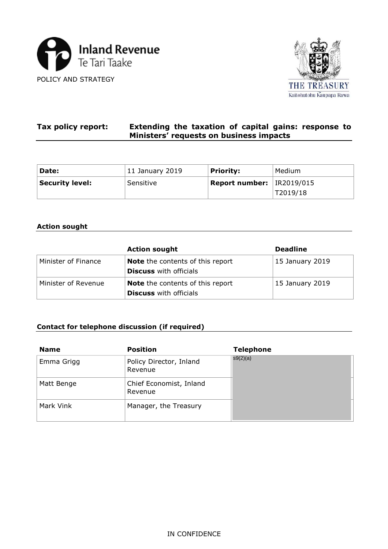



# **Tax policy report: Extending the taxation of capital gains: response to Ministers' requests on business impacts**

| Date:                  | 11 January 2019 | <b>Priority:</b>                     | Medium   |
|------------------------|-----------------|--------------------------------------|----------|
| <b>Security level:</b> | Sensitive       | <b>Report number:</b> $ $ IR2019/015 |          |
|                        |                 |                                      | T2019/18 |

# **Action sought**

|                     | <b>Action sought</b>                                                     | <b>Deadline</b> |
|---------------------|--------------------------------------------------------------------------|-----------------|
| Minister of Finance | <b>Note</b> the contents of this report<br><b>Discuss</b> with officials | 15 January 2019 |
| Minister of Revenue | <b>Note</b> the contents of this report<br><b>Discuss</b> with officials | 15 January 2019 |

# **Contact for telephone discussion (if required)**

| <b>Name</b> | <b>Position</b>                    | <b>Telephone</b> |
|-------------|------------------------------------|------------------|
| Emma Grigg  | Policy Director, Inland<br>Revenue | s9(2)(a)         |
| Matt Benge  | Chief Economist, Inland<br>Revenue |                  |
| Mark Vink   | Manager, the Treasury              |                  |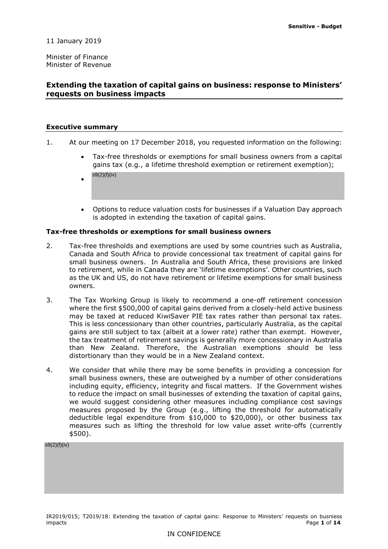11 January 2019

Minister of Finance Minister of Revenue

# **Extending the taxation of capital gains on business: response to Ministers' requests on business impacts**

### **Executive summary**

- 1. At our meeting on 17 December 2018, you requested information on the following:
	- • Tax-free thresholds or exemptions for small business owners from a capital gains tax (e.g., a lifetime threshold exemption or retirement exemption);  $s9(2)(f)(iv)$
	- is adopted in extending the taxation of capital gains. • Options to reduce valuation costs for businesses if a Valuation Day approach

### **Tax-free thresholds or exemptions for small business owners**

- small business owners. In Australia and South Africa, these provisions are linked owners. 2. Tax-free thresholds and exemptions are used by some countries such as Australia, Canada and South Africa to provide concessional tax treatment of capital gains for to retirement, while in Canada they are 'lifetime exemptions'. Other countries, such as the UK and US, do not have retirement or lifetime exemptions for small business
- may be taxed at reduced KiwiSaver PIE tax rates rather than personal tax rates. may be taxed at reduced KiwiSaver PIE tax rates rather than personal tax rates.<br>This is less concessionary than other countries, particularly Australia, as the capital gains are still subject to tax (albeit at a lower rate) rather than exempt. However, than New Zealand. Therefore, the Australian exemptions should be less distortionary than they would be in a New Zealand context. 3. The Tax Working Group is likely to recommend a one-off retirement concession where the first \$500,000 of capital gains derived from a closely-held active business the tax treatment of retirement savings is generally more concessionary in Australia
- small business owners, these are outweighed by a number of other considerations including equity, efficiency, integrity and fiscal matters. If the Government wishes deductible legal expenditure from \$10,000 to \$20,000), or other business tax 4. We consider that while there may be some benefits in providing a concession for to reduce the impact on small businesses of extending the taxation of capital gains, we would suggest considering other measures including compliance cost savings measures proposed by the Group (e.g., lifting the threshold for automatically measures such as lifting the threshold for low value asset write-offs (currently \$500).

s9(2)(f)(iv)

IR2019/015; T2019/18: Extending the taxation of capital gains: Response to Ministers' requests on busniess impacts Page **1** of **14**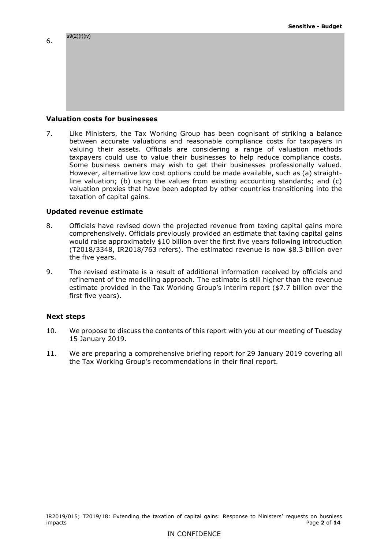### **Valuation costs for businesses**

 taxation of capital gains. 7. Like Ministers, the Tax Working Group has been cognisant of striking a balance between accurate valuations and reasonable compliance costs for taxpayers in valuing their assets. Officials are considering a range of valuation methods taxpayers could use to value their businesses to help reduce compliance costs. Some business owners may wish to get their businesses professionally valued. However, alternative low cost options could be made available, such as (a) straightline valuation; (b) using the values from existing accounting standards; and (c) valuation proxies that have been adopted by other countries transitioning into the

### **Updated revenue estimate**

- the five years. 8. Officials have revised down the projected revenue from taxing capital gains more comprehensively. Officials previously provided an estimate that taxing capital gains would raise approximately \$10 billion over the first five years following introduction (T2018/3348, IR2018/763 refers). The estimated revenue is now \$8.3 billion over
- 9. The revised estimate is a result of additional information received by officials and refinement of the modelling approach. The estimate is still higher than the revenue estimate provided in the Tax Working Group's interim report (\$7.7 billion over the first five years).

### **Next steps**

- 15 January 2019. 10. We propose to discuss the contents of this report with you at our meeting of Tuesday
- the Tax Working Group's recommendations in their final report. 11. We are preparing a comprehensive briefing report for 29 January 2019 covering all the Tax Working Group's recommendations in their final report.<br>IR2019/015; T2019/18: Extending the taxation of capital gains: Response to Ministers' requests on busniess<br>IR2019/015; T2019/18: Extending the taxation of capi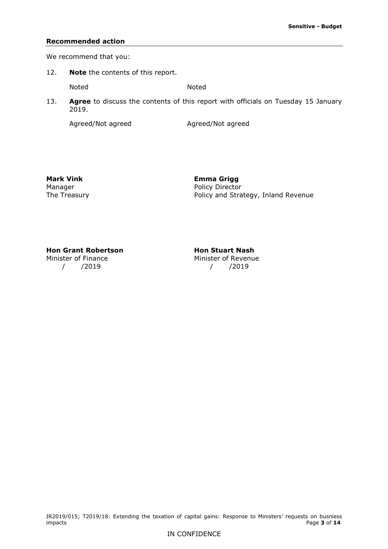### **Recommended action**

We recommend that you:

12. **Note** the contents of this report.

Noted Noted

13. **Agree** to discuss the contents of this report with officials on Tuesday 15 January 2019.

Agreed/Not agreed

Agreed/Not agreed

**Mark Vink Emma Grigg** 

Manager **Policy Director** Policy Director The Treasury **Policy and Strategy, Inland Revenue** 

### **Hon Grant Robertson Hon Stuart Nash**

Minister of Finance Minister of Revenue / /2019 / /2019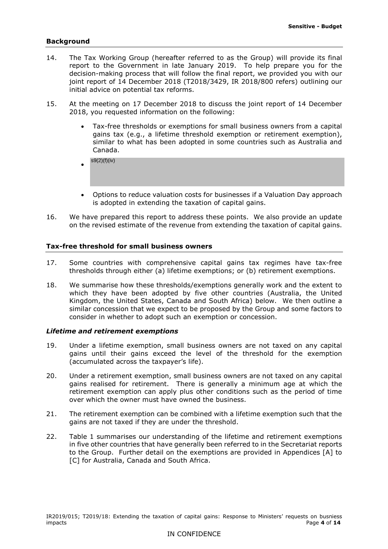### **Background**

- report to the Government in late January 2019. To help prepare you for the initial advice on potential tax reforms. 14. The Tax Working Group (hereafter referred to as the Group) will provide its final decision-making process that will follow the final report, we provided you with our joint report of 14 December 2018 (T2018/3429, IR 2018/800 refers) outlining our
- 15. At the meeting on 17 December 2018 to discuss the joint report of 14 December 2018, you requested information on the following:
	- • Tax-free thresholds or exemptions for small business owners from a capital Canada. gains tax (e.g., a lifetime threshold exemption or retirement exemption), similar to what has been adopted in some countries such as Australia and
	- $s9(2)(f)(iv)$
	- is adopted in extending the taxation of capital gains. • Options to reduce valuation costs for businesses if a Valuation Day approach
- on the revised estimate of the revenue from extending the taxation of capital gains. 16. We have prepared this report to address these points. We also provide an update

### **Tax-free threshold for small business owners**

- thresholds through either (a) lifetime exemptions; or (b) retirement exemptions. 17. Some countries with comprehensive capital gains tax regimes have tax-free
- thresholds through either (a) lifetime exemptions; or (b) retirement exemptions. 18. We summarise how these thresholds/exemptions generally work and the extent to Kingdom, the United States, Canada and South Africa) below. We then outline a which they have been adopted by five other countries (Australia, the United similar concession that we expect to be proposed by the Group and some factors to consider in whether to adopt such an exemption or concession.

### *Lifetime and retirement exemptions*

- (accumulated across the taxpayer's life). 19. Under a lifetime exemption, small business owners are not taxed on any capital gains until their gains exceed the level of the threshold for the exemption
- gains realised for retirement. There is generally a minimum age at which the retirement exemption can apply plus other conditions such as the period of time over which the owner must have owned the business. 20. Under a retirement exemption, small business owners are not taxed on any capital
- gains are not taxed if they are under the threshold. 21. The retirement exemption can be combined with a lifetime exemption such that the
- [C] for Australia, Canada and South Africa. 22. Table 1 summarises our understanding of the lifetime and retirement exemptions in five other countries that have generally been referred to in the Secretariat reports to the Group. Further detail on the exemptions are provided in Appendices [A] to [C] for Australia, Canada and South Africa.<br>IR2019/015; T2019/18: Extending the taxation of capital gains: Response to Ministers' requests on busniess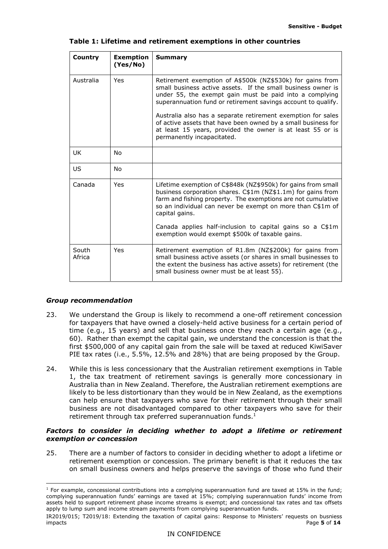| Country         | <b>Exemption</b><br>(Yes/No) | <b>Summary</b>                                                                                                                                                                                                                                                                                                                                                                                                                                                                     |
|-----------------|------------------------------|------------------------------------------------------------------------------------------------------------------------------------------------------------------------------------------------------------------------------------------------------------------------------------------------------------------------------------------------------------------------------------------------------------------------------------------------------------------------------------|
| Australia       | Yes                          | Retirement exemption of A\$500k (NZ\$530k) for gains from<br>small business active assets. If the small business owner is<br>under 55, the exempt gain must be paid into a complying<br>superannuation fund or retirement savings account to qualify.<br>Australia also has a separate retirement exemption for sales<br>of active assets that have been owned by a small business for<br>at least 15 years, provided the owner is at least 55 or is<br>permanently incapacitated. |
| UK              | No                           |                                                                                                                                                                                                                                                                                                                                                                                                                                                                                    |
| US              | No                           |                                                                                                                                                                                                                                                                                                                                                                                                                                                                                    |
| Canada          | Yes                          | Lifetime exemption of C\$848k (NZ\$950k) for gains from small<br>business corporation shares. C\$1m (NZ\$1.1m) for gains from<br>farm and fishing property. The exemptions are not cumulative<br>so an individual can never be exempt on more than C\$1m of<br>capital gains.<br>Canada applies half-inclusion to capital gains so a C\$1m<br>exemption would exempt \$500k of taxable gains.                                                                                      |
| South<br>Africa | Yes                          | Retirement exemption of R1.8m (NZ\$200k) for gains from<br>small business active assets (or shares in small businesses to<br>the extent the business has active assets) for retirement (the<br>small business owner must be at least 55).                                                                                                                                                                                                                                          |

# **Table 1: Lifetime and retirement exemptions in other countries**

# *Group recommendation*

- PIE tax rates (i.e., 5.5%, 12.5% and 28%) that are being proposed by the Group. 23. We understand the Group is likely to recommend a one-off retirement concession for taxpayers that have owned a closely-held active business for a certain period of time (e.g., 15 years) and sell that business once they reach a certain age (e.g., 60). Rather than exempt the capital gain, we understand the concession is that the first \$500,000 of any capital gain from the sale will be taxed at reduced KiwiSaver
- 24. While this is less concessionary that the Australian retirement exemptions in Table retirement through tax preferred superannuation funds. $1$ 1, the tax treatment of retirement savings is generally more concessionary in Australia than in New Zealand. Therefore, the Australian retirement exemptions are likely to be less distortionary than they would be in New Zealand, as the exemptions can help ensure that taxpayers who save for their retirement through their small business are not disadvantaged compared to other taxpayers who save for their

### *Factors to consider in deciding whether to adopt a lifetime or retirement exemption or concession*

25. There are a number of factors to consider in deciding whether to adopt a lifetime or retirement exemption or concession. The primary benefit is that it reduces the tax on small business owners and helps preserve the savings of those who fund their

  $<sup>1</sup>$  For example, concessional contributions into a complying superannuation fund are taxed at 15% in the fund;</sup> complying superannuation funds' earnings are taxed at 15%; complying superannuation funds' income from assets held to support retirement phase income streams is exempt; and concessional tax rates and tax offsets apply to lump sum and income stream payments from complying superannuation funds.

IR2019/015; T2019/18: Extending the taxation of capital gains: Response to Ministers' requests on busniess impacts Page **5** of **14**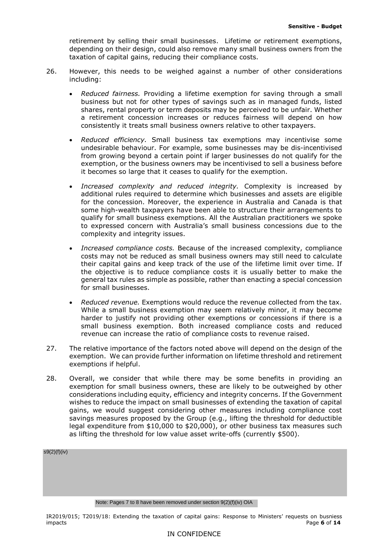taxation of capital gains, reducing their compliance costs. retirement by selling their small businesses. Lifetime or retirement exemptions, depending on their design, could also remove many small business owners from the

- 26. However, this needs to be weighed against a number of other considerations including:
	- shares, rental property or term deposits may be perceived to be unfair. Whether a retirement concession increases or reduces fairness will depend on how consistently it treats small business owners relative to other taxpayers. • *Reduced fairness.* Providing a lifetime exemption for saving through a small business but not for other types of savings such as in managed funds, listed
	- • *Reduced efficiency.* Small business tax exemptions may incentivise some from growing beyond a certain point if larger businesses do not qualify for the undesirable behaviour. For example, some businesses may be dis-incentivised exemption, or the business owners may be incentivised to sell a business before it becomes so large that it ceases to qualify for the exemption.
	- complexity and integrity issues. • *Increased complexity and reduced integrity.* Complexity is increased by additional rules required to determine which businesses and assets are eligible for the concession. Moreover, the experience in Australia and Canada is that some high-wealth taxpayers have been able to structure their arrangements to qualify for small business exemptions. All the Australian practitioners we spoke to expressed concern with Australia's small business concessions due to the
	- *Increased compliance costs.* Because of the increased complexity, compliance costs may not be reduced as small business owners may still need to calculate their capital gains and keep track of the use of the lifetime limit over time. If the objective is to reduce compliance costs it is usually better to make the general tax rules as simple as possible, rather than enacting a special concession for small businesses.
	- revenue can increase the ratio of compliance costs to revenue raised. • *Reduced revenue.* Exemptions would reduce the revenue collected from the tax. While a small business exemption may seem relatively minor, it may become harder to justify not providing other exemptions or concessions if there is a small business exemption. Both increased compliance costs and reduced
- 27. The relative importance of the factors noted above will depend on the design of the exemption. We can provide further information on lifetime threshold and retirement exemptions if helpful.
- exemption for small business owners, these are likely to be outweighed by other considerations including equity, efficiency and integrity concerns. If the Government wishes to reduce the impact on small businesses of extending the taxation of capital legal expenditure from \$10,000 to \$20,000), or other business tax measures such as lifting the threshold for low value asset write-offs (currently \$500). 28. Overall, we consider that while there may be some benefits in providing an gains, we would suggest considering other measures including compliance cost savings measures proposed by the Group (e.g., lifting the threshold for deductible

| s9(2)(f)(iv) |                                                                    |
|--------------|--------------------------------------------------------------------|
|              |                                                                    |
|              |                                                                    |
|              |                                                                    |
|              |                                                                    |
|              |                                                                    |
|              |                                                                    |
|              |                                                                    |
|              |                                                                    |
|              | Note: Pages 7 to 8 have been removed under section 9(2)(f)(iv) OIA |
|              |                                                                    |

IR2019/015; T2019/18: Extending the taxation of capital gains: Response to Ministers' requests on busniess impacts Page **6** of **14**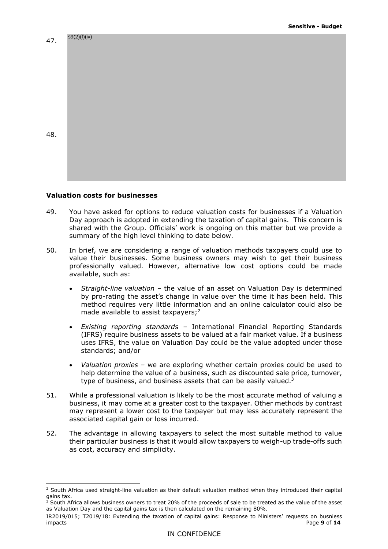# 47  $s9(2)(f)(iv)$ 48.

# **Valuation costs for businesses**

- 49. You have asked for options to reduce valuation costs for businesses if a Valuation summary of the high level thinking to date below. Day approach is adopted in extending the taxation of capital gains. This concern is shared with the Group. Officials' work is ongoing on this matter but we provide a
- 50. In brief, we are considering a range of valuation methods taxpayers could use to value their businesses. Some business owners may wish to get their business professionally valued. However, alternative low cost options could be made available, such as:
	- made available to assist taxpayers;<sup>2</sup> • *Straight-line valuation –* the value of an asset on Valuation Day is determined by pro-rating the asset's change in value over the time it has been held. This method requires very little information and an online calculator could also be
	- *Existing reporting standards* International Financial Reporting Standards (IFRS) require business assets to be valued at a fair market value. If a business uses IFRS, the value on Valuation Day could be the value adopted under those standards; and/or
	- • *Valuation proxies* we are exploring whether certain proxies could be used to type of business, and business assets that can be easily valued. $3$ help determine the value of a business, such as discounted sale price, turnover,
- 51. While a professional valuation is likely to be the most accurate method of valuing a business, it may come at a greater cost to the taxpayer. Other methods by contrast may represent a lower cost to the taxpayer but may less accurately represent the associated capital gain or loss incurred.
- 52. The advantage in allowing taxpayers to select the most suitable method to value their particular business is that it would allow taxpayers to weigh-up trade-offs such as cost, accuracy and simplicity.

<sup>&</sup>lt;sup>2</sup> South Africa used straight-line valuation as their default valuation method when they introduced their capital gains tax.

 as Valuation Day and the capital gains tax is then calculated on the remaining 80%.  $3$  South Africa allows business owners to treat 20% of the proceeds of sale to be treated as the value of the asset

IR2019/015; T2019/18: Extending the taxation of capital gains: Response to Ministers' requests on busniess impacts Page **9** of **14**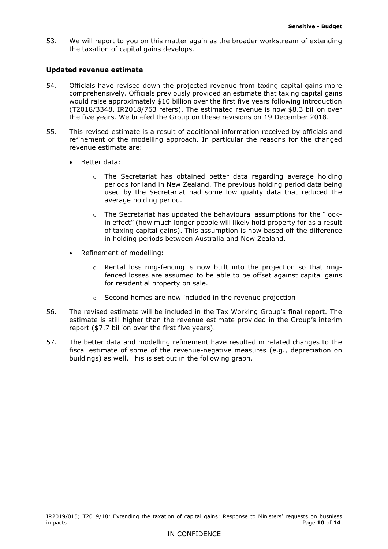53. We will report to you on this matter again as the broader workstream of extending the taxation of capital gains develops.

### **Updated revenue estimate**

- the five years. We briefed the Group on these revisions on 19 December 2018. 54. Officials have revised down the projected revenue from taxing capital gains more comprehensively. Officials previously provided an estimate that taxing capital gains would raise approximately \$10 billion over the first five years following introduction (T2018/3348, IR2018/763 refers). The estimated revenue is now \$8.3 billion over
- 55. This revised estimate is a result of additional information received by officials and refinement of the modelling approach. In particular the reasons for the changed revenue estimate are:
	- Better data:
		- o The Secretariat has obtained better data regarding average holding periods for land in New Zealand. The previous holding period data being used by the Secretariat had some low quality data that reduced the average holding period.
		- in holding periods between Australia and New Zealand.  $\circ$  The Secretariat has updated the behavioural assumptions for the "lockin effect" (how much longer people will likely hold property for as a result of taxing capital gains). This assumption is now based off the difference
	- Refinement of modelling:
		- for residential property on sale. o Rental loss ring-fencing is now built into the projection so that ringfenced losses are assumed to be able to be offset against capital gains
		- $\circ$  Second homes are now included in the revenue projection
- 56. The revised estimate will be included in the Tax Working Group's final report. The estimate is still higher than the revenue estimate provided in the Group's interim report (\$7.7 billion over the first five years).
- buildings) as well. This is set out in the following graph. 57. The better data and modelling refinement have resulted in related changes to the fiscal estimate of some of the revenue-negative measures (e.g., depreciation on buildings) as well. This is set out in the following graph.<br>IR2019/015; T2019/18: Extending the taxation of capital gains: Response to Ministers' requests on busniess<br>IR2019/015; T2019/18: Extending the taxation of capital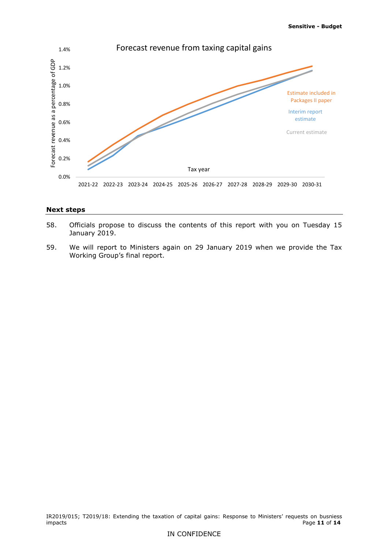**Sensitive - Budget** 



### **Next steps**

- 58. Officials propose to discuss the contents of this report with you on Tuesday 15 January 2019.
- 59. We will report to Ministers again on 29 January 2019 when we provide the Tax Working Group's final report.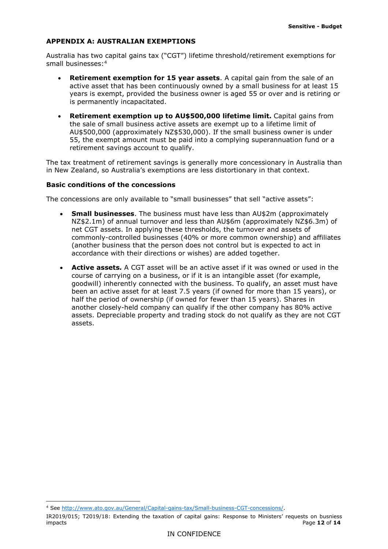# **APPENDIX A: AUSTRALIAN EXEMPTIONS**

Australia has two capital gains tax ("CGT") lifetime threshold/retirement exemptions for small businesses:4

- • **Retirement exemption for 15 year assets**. A capital gain from the sale of an active asset that has been continuously owned by a small business for at least 15 years is exempt, provided the business owner is aged 55 or over and is retiring or is permanently incapacitated.
- **Retirement exemption up to AU\$500,000 lifetime limit.** Capital gains from the sale of small business active assets are exempt up to a lifetime limit of AU\$500,000 (approximately NZ\$530,000). If the small business owner is under 55, the exempt amount must be paid into a complying superannuation fund or a retirement savings account to qualify.

The tax treatment of retirement savings is generally more concessionary in Australia than in New Zealand, so Australia's exemptions are less distortionary in that context.

### **Basic conditions of the concessions**

The concessions are only available to "small businesses" that sell "active assets":

- net CGT assets. In applying these thresholds, the turnover and assets of accordance with their directions or wishes) are added together. • **Small businesses**. The business must have less than AU\$2m (approximately NZ\$2.1m) of annual turnover and less than AU\$6m (approximately NZ\$6.3m) of commonly-controlled businesses (40% or more common ownership) and affiliates (another business that the person does not control but is expected to act in
- course of carrying on a business, or if it is an intangible asset (for example, been an active asset for at least 7.5 years (if owned for more than 15 years), or • **Active assets***.* A CGT asset will be an active asset if it was owned or used in the goodwill) inherently connected with the business. To qualify, an asset must have half the period of ownership (if owned for fewer than 15 years). Shares in another closely-held company can qualify if the other company has 80% active assets. Depreciable property and trading stock do not qualify as they are not CGT assets.

<sup>4</sup> See <http://www.ato.gov.au/General/Capital-gains-tax/Small-business-CGT-concessions>/.

IR2019/015; T2019/18: Extending the taxation of capital gains: Response to Ministers' requests on busniess impacts Page **12** of **14**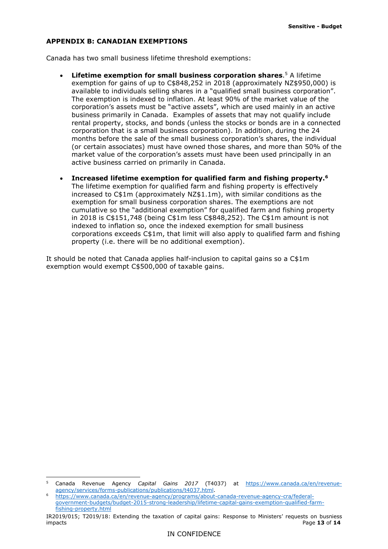# **APPENDIX B: CANADIAN EXEMPTIONS**

Canada has two small business lifetime threshold exemptions:

- The exemption is indexed to inflation. At least 90% of the market value of the (or certain associates) must have owned those shares, and more than 50% of the market value of the corporation's assets must have been used principally in an • **Lifetime exemption for small business corporation shares**.5 A lifetime exemption for gains of up to C\$848,252 in 2018 (approximately NZ\$950,000) is available to individuals selling shares in a "qualified small business corporation". corporation's assets must be "active assets", which are used mainly in an active business primarily in Canada. Examples of assets that may not qualify include rental property, stocks, and bonds (unless the stocks or bonds are in a connected corporation that is a small business corporation). In addition, during the 24 months before the sale of the small business corporation's shares, the individual active business carried on primarily in Canada.
- cumulative so the "additional exemption" for qualified farm and fishing property property (i.e. there will be no additional exemption). • **Increased lifetime exemption for qualified farm and fishing property.6**  The lifetime exemption for qualified farm and fishing property is effectively increased to C\$1m (approximately NZ\$1.1m), with similar conditions as the exemption for small business corporation shares. The exemptions are not in 2018 is C\$151,748 (being C\$1m less C\$848,252). The C\$1m amount is not indexed to inflation so, once the indexed exemption for small business corporations exceeds C\$1m, that limit will also apply to qualified farm and fishing

It should be noted that Canada applies half-inclusion to capital gains so a C\$1m exemption would exempt C\$500,000 of taxable gains.

 $\overline{5}$ 5 Canada Revenue Agency *Capital Gains 2017* (T4037) at <https://www.canada.ca/en/revenue>agency/services/forms-publications/publications/t4037.html.<br><https://www.canada.ca/en/revenue-agency/programs/about-canada-revenue-agency-cra/federal>-

fishing-property.html government-budgets/budget-2015-strong-leadership/lifetime-capital-gains-exemption-qualified-farm-

IR2019/015; T2019/18: Extending the taxation of capital gains: Response to Ministers' requests on busniess impacts Page **13** of **14**